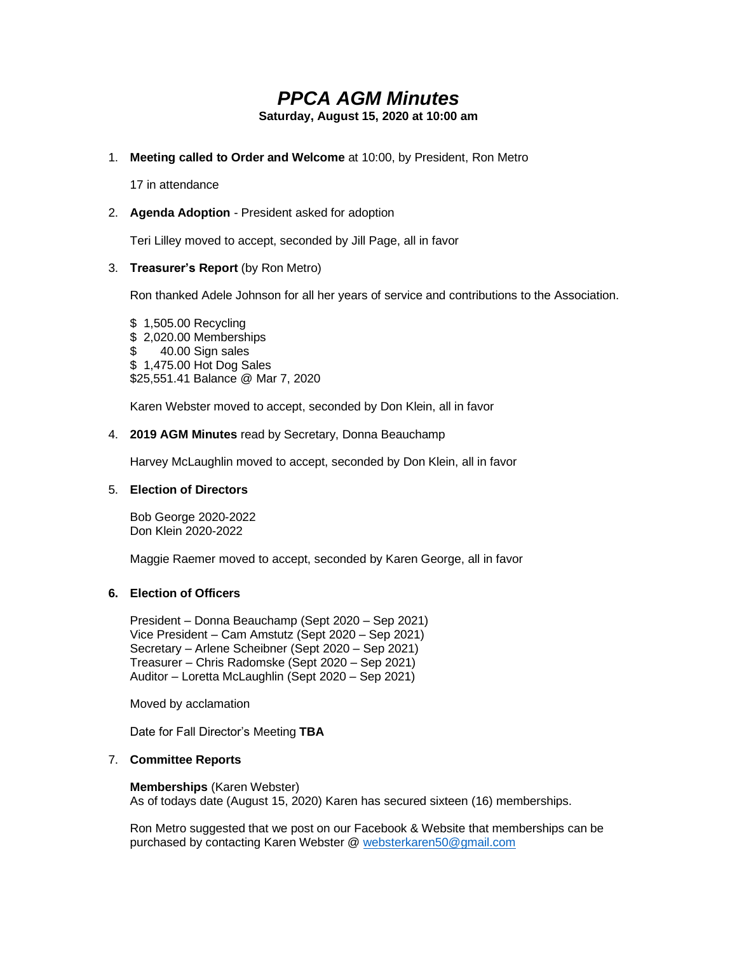# *PPCA AGM Minutes*

**Saturday, August 15, 2020 at 10:00 am**

1. **Meeting called to Order and Welcome** at 10:00, by President, Ron Metro

17 in attendance

### 2. **Agenda Adoption** - President asked for adoption

Teri Lilley moved to accept, seconded by Jill Page, all in favor

### 3. **Treasurer's Report** (by Ron Metro)

Ron thanked Adele Johnson for all her years of service and contributions to the Association.

\$ 1,505.00 Recycling \$ 2,020.00 Memberships \$ 40.00 Sign sales \$ 1,475.00 Hot Dog Sales \$25,551.41 Balance @ Mar 7, 2020

Karen Webster moved to accept, seconded by Don Klein, all in favor

#### 4. **2019 AGM Minutes** read by Secretary, Donna Beauchamp

Harvey McLaughlin moved to accept, seconded by Don Klein, all in favor

# 5. **Election of Directors**

Bob George 2020-2022 Don Klein 2020-2022

Maggie Raemer moved to accept, seconded by Karen George, all in favor

# **6. Election of Officers**

President – Donna Beauchamp (Sept 2020 – Sep 2021) Vice President – Cam Amstutz (Sept 2020 – Sep 2021) Secretary – Arlene Scheibner (Sept 2020 – Sep 2021) Treasurer – Chris Radomske (Sept 2020 – Sep 2021) Auditor – Loretta McLaughlin (Sept 2020 – Sep 2021)

Moved by acclamation

Date for Fall Director's Meeting **TBA**

### 7. **Committee Reports**

**Memberships** (Karen Webster) As of todays date (August 15, 2020) Karen has secured sixteen (16) memberships.

Ron Metro suggested that we post on our Facebook & Website that memberships can be purchased by contacting Karen Webster @ [websterkaren50@gmail.com](mailto:websterkaren50@gmail.com)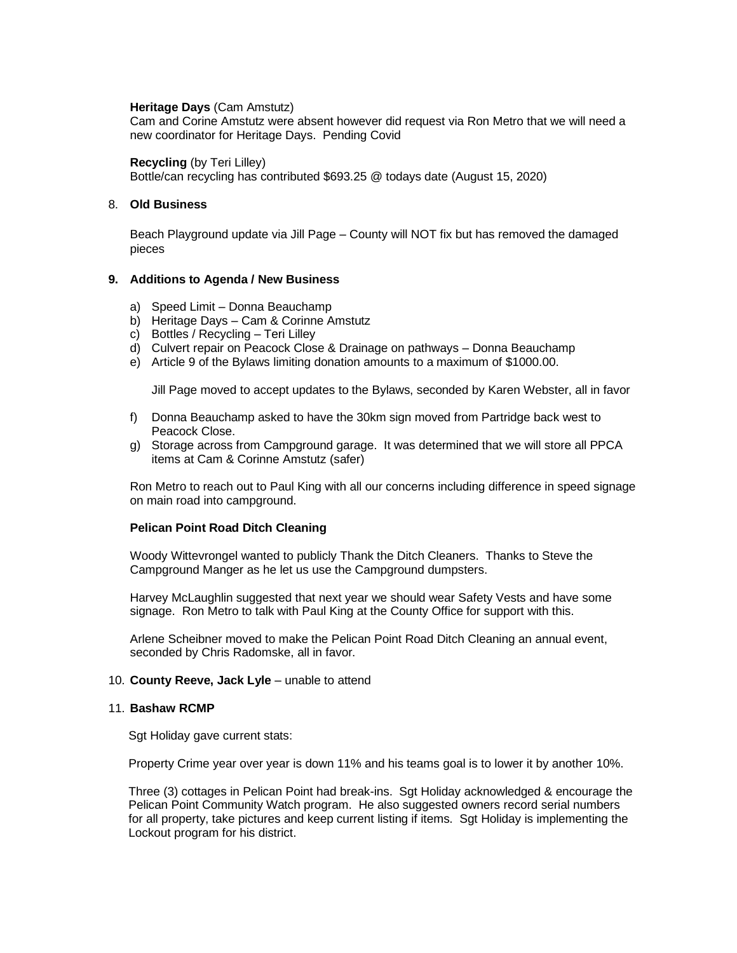#### **Heritage Days** (Cam Amstutz)

Cam and Corine Amstutz were absent however did request via Ron Metro that we will need a new coordinator for Heritage Days. Pending Covid

**Recycling** (by Teri Lilley)

Bottle/can recycling has contributed \$693.25 @ todays date (August 15, 2020)

#### 8. **Old Business**

Beach Playground update via Jill Page – County will NOT fix but has removed the damaged pieces

# **9. Additions to Agenda / New Business**

- a) Speed Limit Donna Beauchamp
- b) Heritage Days Cam & Corinne Amstutz
- c) Bottles / Recycling Teri Lilley
- d) Culvert repair on Peacock Close & Drainage on pathways Donna Beauchamp
- e) Article 9 of the Bylaws limiting donation amounts to a maximum of \$1000.00.

Jill Page moved to accept updates to the Bylaws, seconded by Karen Webster, all in favor

- f) Donna Beauchamp asked to have the 30km sign moved from Partridge back west to Peacock Close.
- g) Storage across from Campground garage. It was determined that we will store all PPCA items at Cam & Corinne Amstutz (safer)

Ron Metro to reach out to Paul King with all our concerns including difference in speed signage on main road into campground.

#### **Pelican Point Road Ditch Cleaning**

Woody Wittevrongel wanted to publicly Thank the Ditch Cleaners. Thanks to Steve the Campground Manger as he let us use the Campground dumpsters.

Harvey McLaughlin suggested that next year we should wear Safety Vests and have some signage. Ron Metro to talk with Paul King at the County Office for support with this.

Arlene Scheibner moved to make the Pelican Point Road Ditch Cleaning an annual event, seconded by Chris Radomske, all in favor.

#### 10. **County Reeve, Jack Lyle** – unable to attend

#### 11. **Bashaw RCMP**

Sgt Holiday gave current stats:

Property Crime year over year is down 11% and his teams goal is to lower it by another 10%.

 Three (3) cottages in Pelican Point had break-ins. Sgt Holiday acknowledged & encourage the Pelican Point Community Watch program. He also suggested owners record serial numbers for all property, take pictures and keep current listing if items. Sgt Holiday is implementing the Lockout program for his district.